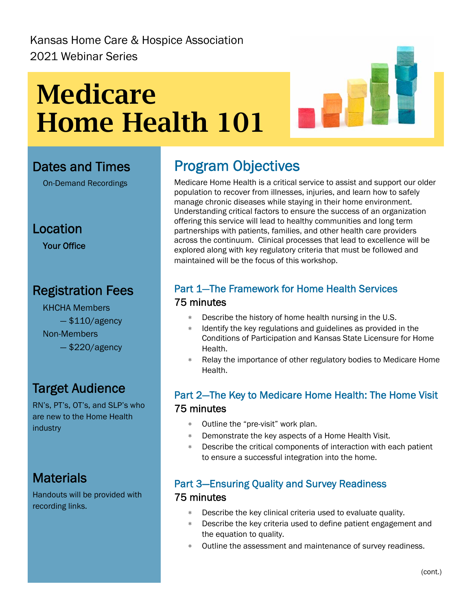# **Medicare Home Health 101**



#### Dates and Times

On-Demand Recordings

Location

Your Office

# Registration Fees

 KHCHA Members  $-$  \$110/agency Non-Members — \$220/agency

## Target Audience

RN's, PT's, OT's, and SLP's who are new to the Home Health industry

## **Materials**

Handouts will be provided with recording links.

# Program Objectives

Medicare Home Health is a critical service to assist and support our older population to recover from illnesses, injuries, and learn how to safely manage chronic diseases while staying in their home environment. Understanding critical factors to ensure the success of an organization offering this service will lead to healthy communities and long term partnerships with patients, families, and other health care providers across the continuum. Clinical processes that lead to excellence will be explored along with key regulatory criteria that must be followed and maintained will be the focus of this workshop.

#### Part 1—The Framework for Home Health Services 75 minutes

- ∗ Describe the history of home health nursing in the U.S.
- ∗ Identify the key regulations and guidelines as provided in the Conditions of Participation and Kansas State Licensure for Home Health.
- Relay the importance of other regulatory bodies to Medicare Home Health.

#### Part 2—The Key to Medicare Home Health: The Home Visit 75 minutes

- ∗ Outline the "pre-visit" work plan.
- ∗ Demonstrate the key aspects of a Home Health Visit.
- ∗ Describe the critical components of interaction with each patient to ensure a successful integration into the home.

#### Part 3—Ensuring Quality and Survey Readiness

#### 75 minutes

- ∗ Describe the key clinical criteria used to evaluate quality.
- Describe the key criteria used to define patient engagement and the equation to quality.
- ∗ Outline the assessment and maintenance of survey readiness.